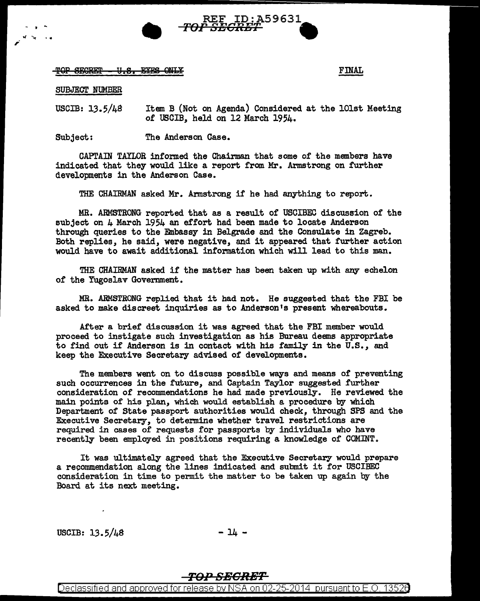

 $\overline{TOP}$  SEGRET - U.S. EYES ONLY

SUBJECT NUMBER

. . .

USCIB: 13.5/48 Item B (Not on Agenda) Considered at the lOlst Meeting of USCIB, held on 12 March 1954.

Subject: The Anderson Case.

CAPTAIN TAYLOR informed the Chairman that some of the members have indicated that they would like a report from Mr. Armstrong on further developments in the Anderson Case.

THE CHAIRMAN asked Mr. Armstrong if he had anything to report.

MR. ARViSTRONG reported that as a result of USCIBEC discussion of the subject on  $\mu$  March 1954 an effort had been made to locate Anderson through queries to the Embassy in Belgrade and the Consulate in Zagreb. Both replies, he said, were negative, and it appeared that further action would have to await additional information which will lead to this man.

THE CHAIRMAN asked if the matter has been taken up with any echelon of the Yugoslav Government.

MR. ARMSTRONG replied that it had not. He suggested that the FBI be asked to make discreet inquiries as to Anderson's present whereabouts.

After a brief discussion it was agreed that the FBI member would proceed to instigate such investigation as his Bureau deems appropriate to find out if Anderson is in contact with his family in the U.S., and keep the Executive Secretary advised of developments.

The members went on to discuss possible ways and means of preventing such occurrences in the future, and Captain Taylor suggested further consideration of recommendations he had made previously. He reviewed the main points of his plan, which would establish a procedure by which Department of State passport authorities would check, through SPS and the Executive Secretary, to determine whether travel restrictions are required in cases of requests for passports by individuals who have recently been employed in positions requiring a knowledge of COMINT.

It was ultimately agreed that the Executive Secretary would prepare a recommendation along the lines indicated and submit it for USCIBEC consideration in time to permit the matter to be taken up again by the Board at its next meeting.

 $USCIB: 13.5/\mu8$  - 14 -

## *TOPSEGRBT*

Declassified and approved for release by NSA on 02-25-2014 pursuantto E.O. 1352a